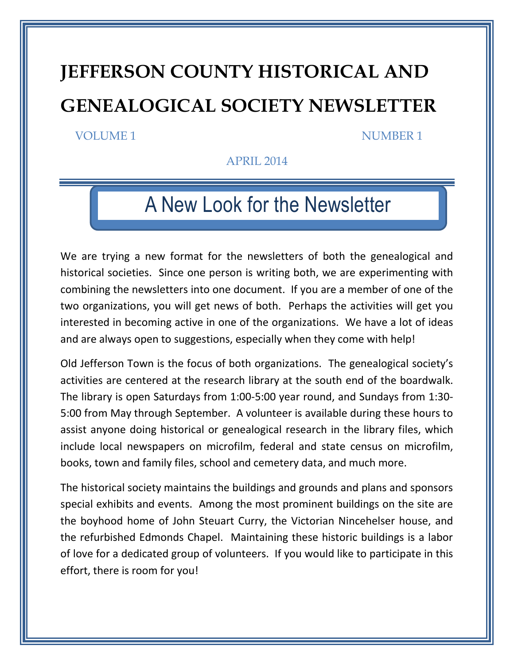# **JEFFERSON COUNTY HISTORICAL AND GENEALOGICAL SOCIETY NEWSLETTER**

#### VOLUME 1 NUMBER 1

APRIL 2014

## **A New Look for the Newsletter** A New Look for the Newsletter

We are trying a new format for the newsletters of both the genealogical and historical societies. Since one person is writing both, we are experimenting with combining the newsletters into one document. If you are a member of one of the two organizations, you will get news of both. Perhaps the activities will get you interested in becoming active in one of the organizations. We have a lot of ideas and are always open to suggestions, especially when they come with help!

Old Jefferson Town is the focus of both organizations. The genealogical society's activities are centered at the research library at the south end of the boardwalk. The library is open Saturdays from 1:00-5:00 year round, and Sundays from 1:30- 5:00 from May through September. A volunteer is available during these hours to assist anyone doing historical or genealogical research in the library files, which include local newspapers on microfilm, federal and state census on microfilm, books, town and family files, school and cemetery data, and much more.

The historical society maintains the buildings and grounds and plans and sponsors special exhibits and events. Among the most prominent buildings on the site are the boyhood home of John Steuart Curry, the Victorian Nincehelser house, and the refurbished Edmonds Chapel. Maintaining these historic buildings is a labor of love for a dedicated group of volunteers. If you would like to participate in this effort, there is room for you!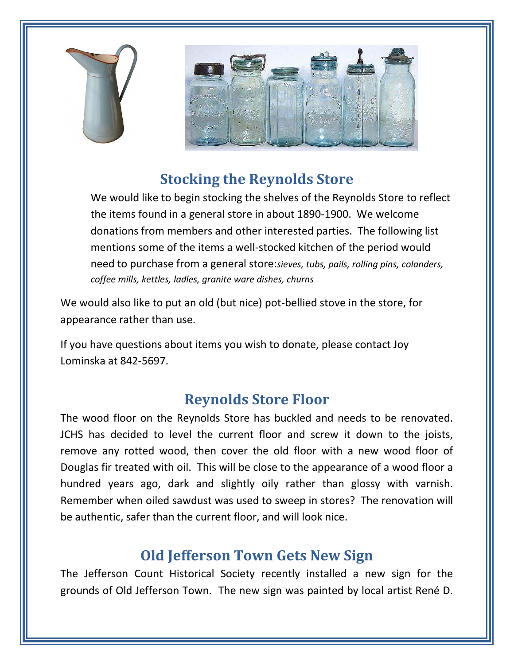



## **Stocking the Reynolds Store**

We would like to begin stocking the shelves of the Reynolds Store to reflect the items found in a general store in about 1890-1900. We welcome donations from members and other interested parties. The following list mentions some of the items a well-stocked kitchen of the period would need to purchase from a general store:*sieves, tubs, pails, rolling pins, colanders, coffee mills, kettles, ladles, granite ware dishes, churns*

We would also like to put an old (but nice) pot-bellied stove in the store, for appearance rather than use.

If you have questions about items you wish to donate, please contact Joy Lominska at 842-5697.

## **Reynolds Store Floor**

The wood floor on the Reynolds Store has buckled and needs to be renovated. JCHS has decided to level the current floor and screw it down to the joists, remove any rotted wood, then cover the old floor with a new wood floor of Douglas fir treated with oil. This will be close to the appearance of a wood floor a hundred years ago, dark and slightly oily rather than glossy with varnish. Remember when oiled sawdust was used to sweep in stores? The renovation will be authentic, safer than the current floor, and will look nice.

#### **Old Jefferson Town Gets New Sign**

The Jefferson Count Historical Society recently installed a new sign for the grounds of Old Jefferson Town. The new sign was painted by local artist René D.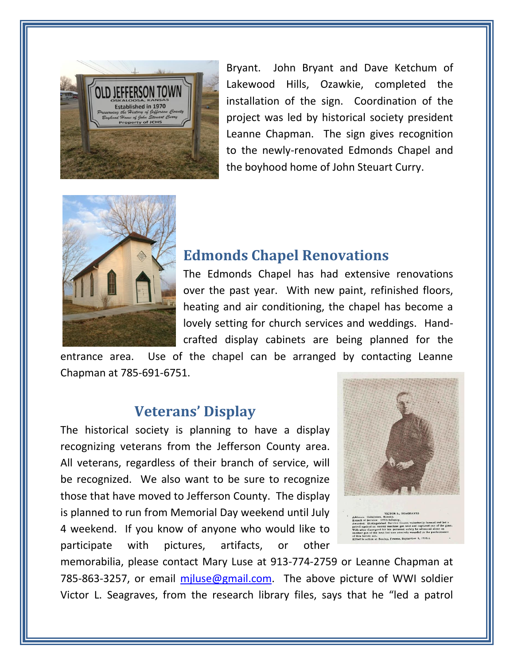

Bryant. John Bryant and Dave Ketchum of Lakewood Hills, Ozawkie, completed the installation of the sign. Coordination of the project was led by historical society president Leanne Chapman. The sign gives recognition to the newly-renovated Edmonds Chapel and the boyhood home of John Steuart Curry.



#### **Edmonds Chapel Renovations**

The Edmonds Chapel has had extensive renovations over the past year. With new paint, refinished floors, heating and air conditioning, the chapel has become a lovely setting for church services and weddings. Handcrafted display cabinets are being planned for the

entrance area. Use of the chapel can be arranged by contacting Leanne Chapman at 785-691-6751.

#### **Veterans' Display**

The historical society is planning to have a display recognizing veterans from the Jefferson County area. All veterans, regardless of their branch of service, will be recognized. We also want to be sure to recognize those that have moved to Jefferson County. The display is planned to run from Memorial Day weekend until July 4 weekend. If you know of anyone who would like to participate with pictures, artifacts, or other



memorabilia, please contact Mary Luse at 913-774-2759 or Leanne Chapman at 785-863-3257, or email miluse@gmail.com. The above picture of WWI soldier Victor L. Seagraves, from the research library files, says that he "led a patrol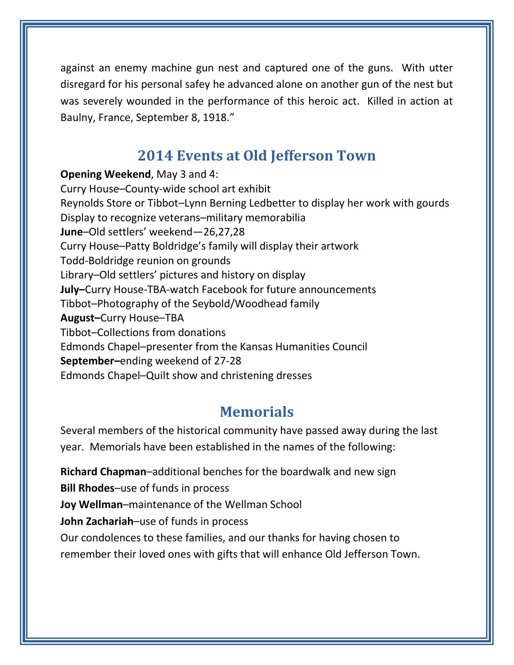against an enemy machine gun nest and captured one of the guns. With utter disregard for his personal safey he advanced alone on another gun of the nest but was severely wounded in the performance of this heroic act. Killed in action at Baulny, France, September 8, 1918."

## **2014 Events at Old Jefferson Town**

**Opening Weekend**, May 3 and 4: Curry House–County-wide school art exhibit Reynolds Store or Tibbot–Lynn Berning Ledbetter to display her work with gourds Display to recognize veterans–military memorabilia **June**–Old settlers' weekend—26,27,28 Curry House–Patty Boldridge's family will display their artwork Todd-Boldridge reunion on grounds Library–Old settlers' pictures and history on display **July–**Curry House-TBA-watch Facebook for future announcements Tibbot–Photography of the Seybold/Woodhead family **August–**Curry House–TBA Tibbot–Collections from donations Edmonds Chapel–presenter from the Kansas Humanities Council **September–**ending weekend of 27-28 Edmonds Chapel–Quilt show and christening dresses

## **Memorials**

Several members of the historical community have passed away during the last year. Memorials have been established in the names of the following:

**Richard Chapman**–additional benches for the boardwalk and new sign **Bill Rhodes**–use of funds in process **Joy Wellman**–maintenance of the Wellman School **John Zachariah**–use of funds in process Our condolences to these families, and our thanks for having chosen to remember their loved ones with gifts that will enhance Old Jefferson Town.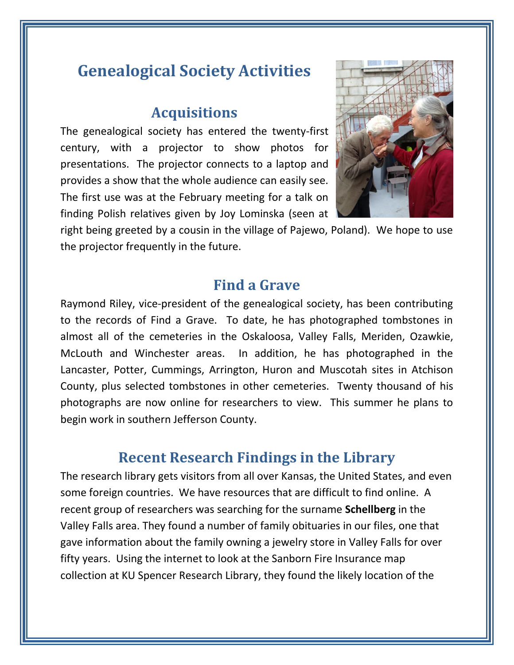## **Genealogical Society Activities**

#### **Acquisitions**

The genealogical society has entered the twenty-first century, with a projector to show photos for presentations. The projector connects to a laptop and provides a show that the whole audience can easily see. The first use was at the February meeting for a talk on finding Polish relatives given by Joy Lominska (seen at



right being greeted by a cousin in the village of Pajewo, Poland). We hope to use the projector frequently in the future.

#### **Find a Grave**

Raymond Riley, vice-president of the genealogical society, has been contributing to the records of Find a Grave. To date, he has photographed tombstones in almost all of the cemeteries in the Oskaloosa, Valley Falls, Meriden, Ozawkie, McLouth and Winchester areas. In addition, he has photographed in the Lancaster, Potter, Cummings, Arrington, Huron and Muscotah sites in Atchison County, plus selected tombstones in other cemeteries. Twenty thousand of his photographs are now online for researchers to view. This summer he plans to begin work in southern Jefferson County.

## **Recent Research Findings in the Library**

The research library gets visitors from all over Kansas, the United States, and even some foreign countries. We have resources that are difficult to find online. A recent group of researchers was searching for the surname **Schellberg** in the Valley Falls area. They found a number of family obituaries in our files, one that gave information about the family owning a jewelry store in Valley Falls for over fifty years. Using the internet to look at the Sanborn Fire Insurance map collection at KU Spencer Research Library, they found the likely location of the